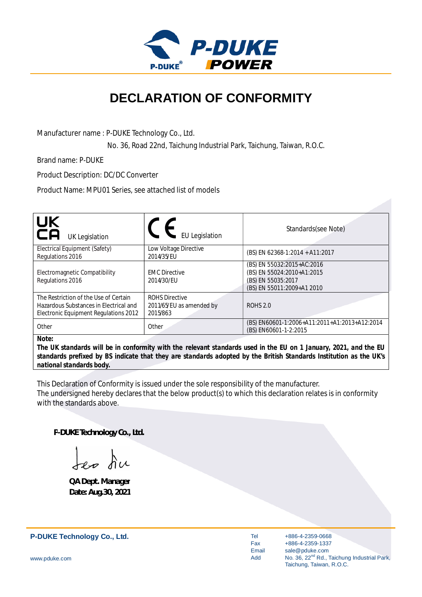

## **DECLARATION OF CONFORMITY**

Manufacturer name : P-DUKE Technology Co., Ltd.

No. 36, Road 22nd, Taichung Industrial Park, Taichung, Taiwan, R.O.C.

Brand name: P-DUKE

Product Description: DC/DC Converter

Product Name: MPU01 Series, see attached list of models

| <b>UK</b><br>CA<br><b>UK Legislation</b>                                                                                 | <b>EU Legislation</b>                                         | Standards(see Note)                                                                                          |
|--------------------------------------------------------------------------------------------------------------------------|---------------------------------------------------------------|--------------------------------------------------------------------------------------------------------------|
| Electrical Equipment (Safety)<br>Regulations 2016                                                                        | Low Voltage Directive<br>2014/35/EU                           | (BS) EN 62368-1:2014 + A11:2017                                                                              |
| Electromagnetic Compatibility<br>Regulations 2016                                                                        | <b>EMC Directive</b><br>2014/30/EU                            | (BS) EN 55032:2015+AC:2016<br>(BS) EN 55024:2010+A1:2015<br>(BS) EN 55035:2017<br>(BS) EN 55011:2009+A1 2010 |
| The Restriction of the Use of Certain<br>Hazardous Substances in Electrical and<br>Electronic Equipment Regulations 2012 | <b>ROHS Directive</b><br>2011/65/EU as amended by<br>2015/863 | <b>ROHS 2.0</b>                                                                                              |
| Other                                                                                                                    | Other                                                         | (BS) EN60601-1:2006+A11:2011+A1:2013+A12:2014<br>(BS) EN60601-1-2:2015                                       |
| $N_{0}+\alpha$                                                                                                           |                                                               |                                                                                                              |

*Note:*

*The UK standards will be in conformity with the relevant standards used in the EU on 1 January, 2021, and the EU standards prefixed by BS indicate that they are standards adopted by the British Standards Institution as the UK's national standards body.*

This Declaration of Conformity is issued under the sole responsibility of the manufacturer. The undersigned hereby declares that the below product(s) to which this declaration relates is in conformity with the standards above.

**P-DUKE Technology Co., Ltd.**

**QA Dept. Manager Date: Aug.30, 2021**

**P-DUKE Technology Co., Ltd.**

Tel Fax Email Add

+886-4-2359-0668 +886-4-2359-1337 sale@pduke.com No. 36, 22<sup>nd</sup> Rd., Taichung Industrial Park, Taichung, Taiwan, R.O.C.